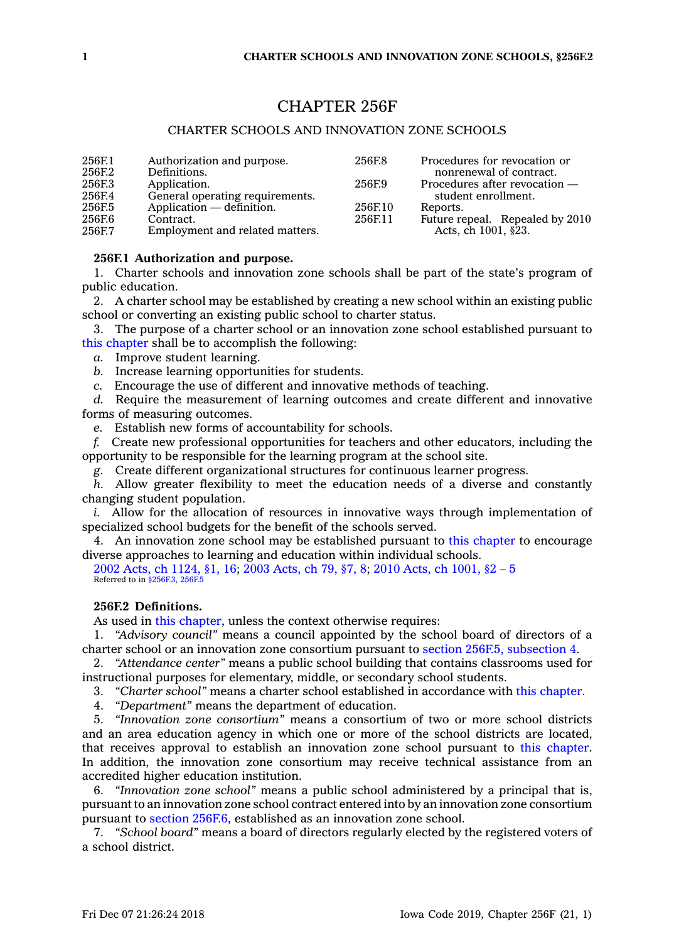# CHAPTER 256F

# CHARTER SCHOOLS AND INNOVATION ZONE SCHOOLS

| 256F.1 | Authorization and purpose.      | 256F.8  | Procedures for revocation or    |
|--------|---------------------------------|---------|---------------------------------|
| 256F.2 | Definitions.                    |         | nonrenewal of contract.         |
| 256F.3 | Application.                    | 256F.9  | Procedures after revocation —   |
| 256F.4 | General operating requirements. |         | student enrollment.             |
| 256F.5 | Application — definition.       | 256F.10 | Reports.                        |
| 256F.6 | Contract.                       | 256F.11 | Future repeal. Repealed by 2010 |
| 256F.7 | Employment and related matters. |         | Acts, ch 1001, §23.             |

# **256F.1 Authorization and purpose.**

1. Charter schools and innovation zone schools shall be part of the state's program of public education.

2. A charter school may be established by creating <sup>a</sup> new school within an existing public school or converting an existing public school to charter status.

3. The purpose of <sup>a</sup> charter school or an innovation zone school established pursuant to this [chapter](https://www.legis.iowa.gov/docs/code//256F.pdf) shall be to accomplish the following:

*a.* Improve student learning.

*b.* Increase learning opportunities for students.

*c.* Encourage the use of different and innovative methods of teaching.

*d.* Require the measurement of learning outcomes and create different and innovative forms of measuring outcomes.

*e.* Establish new forms of accountability for schools.

*f.* Create new professional opportunities for teachers and other educators, including the opportunity to be responsible for the learning program at the school site.

*g.* Create different organizational structures for continuous learner progress.

*h.* Allow greater flexibility to meet the education needs of <sup>a</sup> diverse and constantly changing student population.

*i.* Allow for the allocation of resources in innovative ways through implementation of specialized school budgets for the benefit of the schools served.

4. An innovation zone school may be established pursuant to this [chapter](https://www.legis.iowa.gov/docs/code//256F.pdf) to encourage diverse approaches to learning and education within individual schools.

2002 Acts, ch [1124,](https://www.legis.iowa.gov/docs/acts/2002/CH1124.pdf) §1, 16; 2003 [Acts,](https://www.legis.iowa.gov/docs/acts/2003/CH0079.pdf) ch 79, §7, 8; 2010 Acts, ch [1001,](https://www.legis.iowa.gov/docs/acts/2010/CH1001.pdf) §2 – 5 Referred to in [§256F.3](https://www.legis.iowa.gov/docs/code/256F.3.pdf), [256F.5](https://www.legis.iowa.gov/docs/code/256F.5.pdf)

# **256F.2 Definitions.**

As used in this [chapter](https://www.legis.iowa.gov/docs/code//256F.pdf), unless the context otherwise requires:

1. *"Advisory council"* means <sup>a</sup> council appointed by the school board of directors of <sup>a</sup> charter school or an innovation zone consortium pursuant to section 256F.5, [subsection](https://www.legis.iowa.gov/docs/code/256F.5.pdf) 4.

2. *"Attendance center"* means <sup>a</sup> public school building that contains classrooms used for instructional purposes for elementary, middle, or secondary school students.

3. *"Charter school"* means <sup>a</sup> charter school established in accordance with this [chapter](https://www.legis.iowa.gov/docs/code//256F.pdf).

4. *"Department"* means the department of education.

5. *"Innovation zone consortium"* means <sup>a</sup> consortium of two or more school districts and an area education agency in which one or more of the school districts are located, that receives approval to establish an innovation zone school pursuant to this [chapter](https://www.legis.iowa.gov/docs/code//256F.pdf). In addition, the innovation zone consortium may receive technical assistance from an accredited higher education institution.

6. *"Innovation zone school"* means <sup>a</sup> public school administered by <sup>a</sup> principal that is, pursuant to an innovation zone school contract entered into by an innovation zone consortium pursuant to section [256F.6](https://www.legis.iowa.gov/docs/code/256F.6.pdf), established as an innovation zone school.

7. *"School board"* means <sup>a</sup> board of directors regularly elected by the registered voters of <sup>a</sup> school district.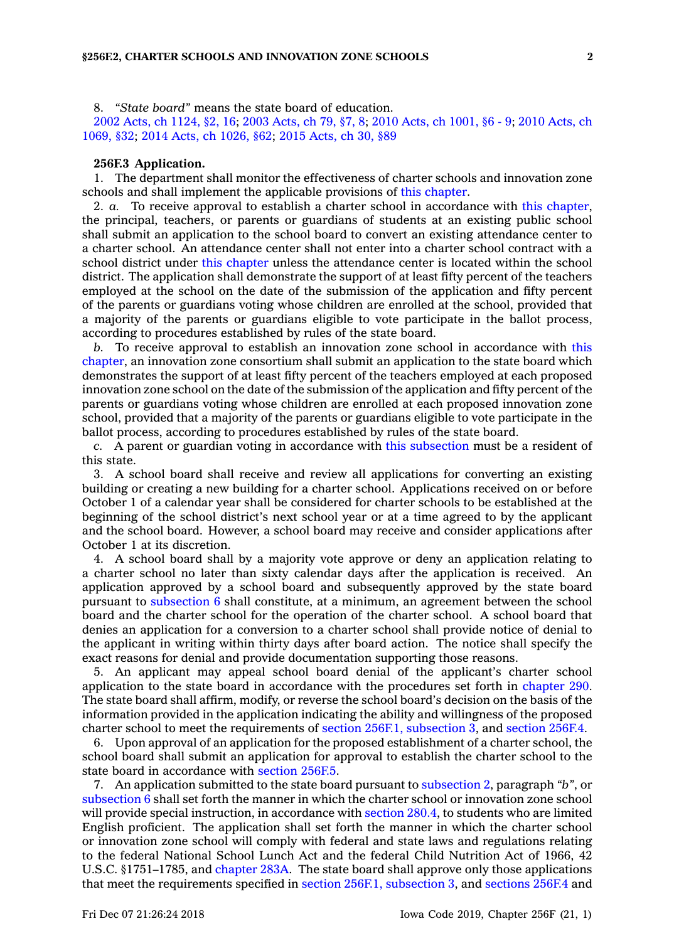8. *"State board"* means the state board of education.

2002 Acts, ch [1124,](https://www.legis.iowa.gov/docs/acts/2002/CH1124.pdf) §2, 16; 2003 [Acts,](https://www.legis.iowa.gov/docs/acts/2003/CH0079.pdf) ch 79, §7, 8; 2010 Acts, ch [1001,](https://www.legis.iowa.gov/docs/acts/2010/CH1001.pdf) §6 - 9; 2010 [Acts,](https://www.legis.iowa.gov/docs/acts/2010/CH1069.pdf) ch [1069,](https://www.legis.iowa.gov/docs/acts/2010/CH1069.pdf) §32; 2014 Acts, ch [1026,](https://www.legis.iowa.gov/docs/acts/2014/CH1026.pdf) §62; 2015 [Acts,](https://www.legis.iowa.gov/docs/acts/2015/CH0030.pdf) ch 30, §89

#### **256F.3 Application.**

1. The department shall monitor the effectiveness of charter schools and innovation zone schools and shall implement the applicable provisions of this [chapter](https://www.legis.iowa.gov/docs/code//256F.pdf).

2. *a.* To receive approval to establish <sup>a</sup> charter school in accordance with this [chapter](https://www.legis.iowa.gov/docs/code//256F.pdf), the principal, teachers, or parents or guardians of students at an existing public school shall submit an application to the school board to convert an existing attendance center to <sup>a</sup> charter school. An attendance center shall not enter into <sup>a</sup> charter school contract with <sup>a</sup> school district under this [chapter](https://www.legis.iowa.gov/docs/code//256F.pdf) unless the attendance center is located within the school district. The application shall demonstrate the support of at least fifty percent of the teachers employed at the school on the date of the submission of the application and fifty percent of the parents or guardians voting whose children are enrolled at the school, provided that <sup>a</sup> majority of the parents or guardians eligible to vote participate in the ballot process, according to procedures established by rules of the state board.

*b.* To receive approval to establish an innovation zone school in accordance with [this](https://www.legis.iowa.gov/docs/code//256F.pdf) [chapter](https://www.legis.iowa.gov/docs/code//256F.pdf), an innovation zone consortium shall submit an application to the state board which demonstrates the support of at least fifty percent of the teachers employed at each proposed innovation zone school on the date of the submission of the application and fifty percent of the parents or guardians voting whose children are enrolled at each proposed innovation zone school, provided that <sup>a</sup> majority of the parents or guardians eligible to vote participate in the ballot process, according to procedures established by rules of the state board.

*c.* A parent or guardian voting in accordance with this [subsection](https://www.legis.iowa.gov/docs/code/256F.3.pdf) must be <sup>a</sup> resident of this state.

3. A school board shall receive and review all applications for converting an existing building or creating <sup>a</sup> new building for <sup>a</sup> charter school. Applications received on or before October 1 of <sup>a</sup> calendar year shall be considered for charter schools to be established at the beginning of the school district's next school year or at <sup>a</sup> time agreed to by the applicant and the school board. However, <sup>a</sup> school board may receive and consider applications after October 1 at its discretion.

4. A school board shall by <sup>a</sup> majority vote approve or deny an application relating to <sup>a</sup> charter school no later than sixty calendar days after the application is received. An application approved by <sup>a</sup> school board and subsequently approved by the state board pursuant to [subsection](https://www.legis.iowa.gov/docs/code/256F.3.pdf) 6 shall constitute, at <sup>a</sup> minimum, an agreement between the school board and the charter school for the operation of the charter school. A school board that denies an application for <sup>a</sup> conversion to <sup>a</sup> charter school shall provide notice of denial to the applicant in writing within thirty days after board action. The notice shall specify the exact reasons for denial and provide documentation supporting those reasons.

5. An applicant may appeal school board denial of the applicant's charter school application to the state board in accordance with the procedures set forth in [chapter](https://www.legis.iowa.gov/docs/code//290.pdf) 290. The state board shall affirm, modify, or reverse the school board's decision on the basis of the information provided in the application indicating the ability and willingness of the proposed charter school to meet the requirements of section 256F.1, [subsection](https://www.legis.iowa.gov/docs/code/256F.1.pdf) 3, and [section](https://www.legis.iowa.gov/docs/code/256F.4.pdf) 256F.4.

6. Upon approval of an application for the proposed establishment of <sup>a</sup> charter school, the school board shall submit an application for approval to establish the charter school to the state board in accordance with [section](https://www.legis.iowa.gov/docs/code/256F.5.pdf) 256F.5.

7. An application submitted to the state board pursuant to [subsection](https://www.legis.iowa.gov/docs/code/256F.3.pdf) 2, paragraph *"b"*, or [subsection](https://www.legis.iowa.gov/docs/code/256F.3.pdf) 6 shall set forth the manner in which the charter school or innovation zone school will provide special instruction, in accordance with [section](https://www.legis.iowa.gov/docs/code/280.4.pdf) 280.4, to students who are limited English proficient. The application shall set forth the manner in which the charter school or innovation zone school will comply with federal and state laws and regulations relating to the federal National School Lunch Act and the federal Child Nutrition Act of 1966, 42 U.S.C. §1751–1785, and [chapter](https://www.legis.iowa.gov/docs/code//283A.pdf) 283A. The state board shall approve only those applications that meet the requirements specified in section 256F.1, [subsection](https://www.legis.iowa.gov/docs/code/256F.1.pdf) 3, and [sections](https://www.legis.iowa.gov/docs/code/256F.4.pdf) 256F.4 and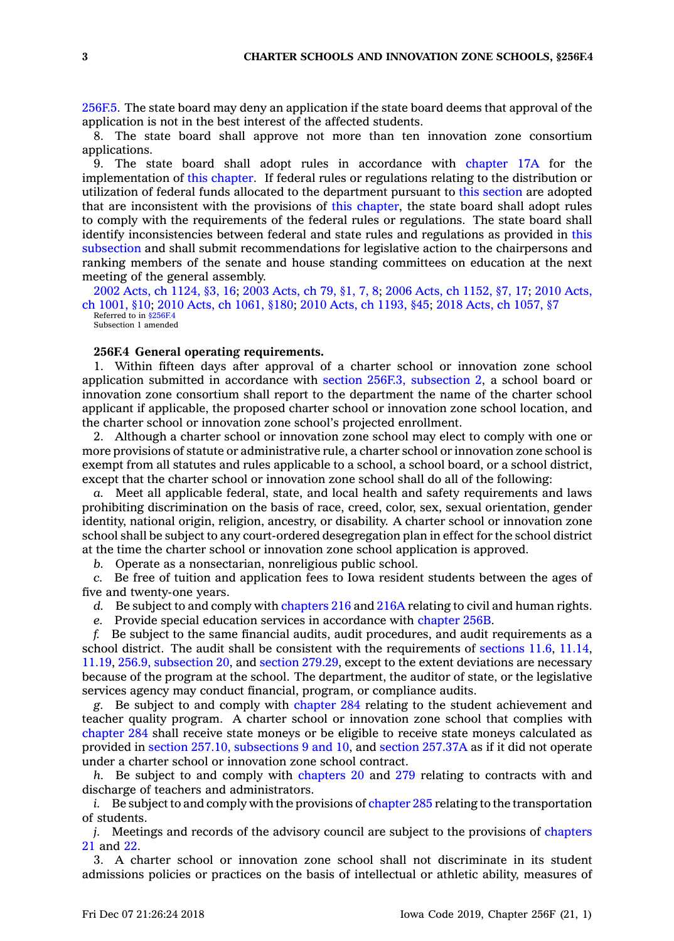[256F.5](https://www.legis.iowa.gov/docs/code/256F.5.pdf). The state board may deny an application if the state board deems that approval of the application is not in the best interest of the affected students.

8. The state board shall approve not more than ten innovation zone consortium applications.

9. The state board shall adopt rules in accordance with [chapter](https://www.legis.iowa.gov/docs/code//17A.pdf) 17A for the implementation of this [chapter](https://www.legis.iowa.gov/docs/code//256F.pdf). If federal rules or regulations relating to the distribution or utilization of federal funds allocated to the department pursuant to this [section](https://www.legis.iowa.gov/docs/code/256F.3.pdf) are adopted that are inconsistent with the provisions of this [chapter](https://www.legis.iowa.gov/docs/code//256F.pdf), the state board shall adopt rules to comply with the requirements of the federal rules or regulations. The state board shall identify inconsistencies between federal and state rules and regulations as provided in [this](https://www.legis.iowa.gov/docs/code/256F.3.pdf) [subsection](https://www.legis.iowa.gov/docs/code/256F.3.pdf) and shall submit recommendations for legislative action to the chairpersons and ranking members of the senate and house standing committees on education at the next meeting of the general assembly.

2002 Acts, ch [1124,](https://www.legis.iowa.gov/docs/acts/2002/CH1124.pdf) §3, 16; 2003 [Acts,](https://www.legis.iowa.gov/docs/acts/2003/CH0079.pdf) ch 79, §1, 7, 8; 2006 Acts, ch [1152,](https://www.legis.iowa.gov/docs/acts/2006/CH1152.pdf) §7, 17; 2010 [Acts,](https://www.legis.iowa.gov/docs/acts/2010/CH1001.pdf) ch [1001,](https://www.legis.iowa.gov/docs/acts/2010/CH1001.pdf) §10; 2010 Acts, ch [1061,](https://www.legis.iowa.gov/docs/acts/2010/CH1061.pdf) §180; 2010 Acts, ch [1193,](https://www.legis.iowa.gov/docs/acts/2010/CH1193.pdf) §45; 2018 Acts, ch [1057,](https://www.legis.iowa.gov/docs/acts/2018/CH1057.pdf) §7 Referred to in [§256F.4](https://www.legis.iowa.gov/docs/code/256F.4.pdf) Subsection 1 amended

#### **256F.4 General operating requirements.**

1. Within fifteen days after approval of <sup>a</sup> charter school or innovation zone school application submitted in accordance with section 256F.3, [subsection](https://www.legis.iowa.gov/docs/code/256F.3.pdf) 2, <sup>a</sup> school board or innovation zone consortium shall report to the department the name of the charter school applicant if applicable, the proposed charter school or innovation zone school location, and the charter school or innovation zone school's projected enrollment.

2. Although <sup>a</sup> charter school or innovation zone school may elect to comply with one or more provisions of statute or administrative rule, <sup>a</sup> charter school or innovation zone school is exempt from all statutes and rules applicable to <sup>a</sup> school, <sup>a</sup> school board, or <sup>a</sup> school district, except that the charter school or innovation zone school shall do all of the following:

*a.* Meet all applicable federal, state, and local health and safety requirements and laws prohibiting discrimination on the basis of race, creed, color, sex, sexual orientation, gender identity, national origin, religion, ancestry, or disability. A charter school or innovation zone school shall be subject to any court-ordered desegregation plan in effect for the school district at the time the charter school or innovation zone school application is approved.

*b.* Operate as <sup>a</sup> nonsectarian, nonreligious public school.

*c.* Be free of tuition and application fees to Iowa resident students between the ages of five and twenty-one years.

*d.* Be subject to and comply with [chapters](https://www.legis.iowa.gov/docs/code//216.pdf) 216 and [216A](https://www.legis.iowa.gov/docs/code//216A.pdf) relating to civil and human rights.

*e.* Provide special education services in accordance with [chapter](https://www.legis.iowa.gov/docs/code//256B.pdf) 256B.

*f.* Be subject to the same financial audits, audit procedures, and audit requirements as <sup>a</sup> school district. The audit shall be consistent with the requirements of [sections](https://www.legis.iowa.gov/docs/code/11.6.pdf) 11.6, [11.14](https://www.legis.iowa.gov/docs/code/11.14.pdf), [11.19](https://www.legis.iowa.gov/docs/code/11.19.pdf), 256.9, [subsection](https://www.legis.iowa.gov/docs/code/256.9.pdf) 20, and section [279.29](https://www.legis.iowa.gov/docs/code/279.29.pdf), except to the extent deviations are necessary because of the program at the school. The department, the auditor of state, or the legislative services agency may conduct financial, program, or compliance audits.

*g.* Be subject to and comply with [chapter](https://www.legis.iowa.gov/docs/code//284.pdf) 284 relating to the student achievement and teacher quality program. A charter school or innovation zone school that complies with [chapter](https://www.legis.iowa.gov/docs/code//284.pdf) 284 shall receive state moneys or be eligible to receive state moneys calculated as provided in section 257.10, [subsections](https://www.legis.iowa.gov/docs/code/257.10.pdf) 9 and 10, and section [257.37A](https://www.legis.iowa.gov/docs/code/257.37A.pdf) as if it did not operate under <sup>a</sup> charter school or innovation zone school contract.

*h.* Be subject to and comply with [chapters](https://www.legis.iowa.gov/docs/code//20.pdf) 20 and [279](https://www.legis.iowa.gov/docs/code//279.pdf) relating to contracts with and discharge of teachers and administrators.

*i.* Be subject to and comply with the provisions of [chapter](https://www.legis.iowa.gov/docs/code//285.pdf) 285 relating to the transportation of students.

*j.* Meetings and records of the advisory council are subject to the provisions of [chapters](https://www.legis.iowa.gov/docs/code//21.pdf) [21](https://www.legis.iowa.gov/docs/code//21.pdf) and [22](https://www.legis.iowa.gov/docs/code//22.pdf).

3. A charter school or innovation zone school shall not discriminate in its student admissions policies or practices on the basis of intellectual or athletic ability, measures of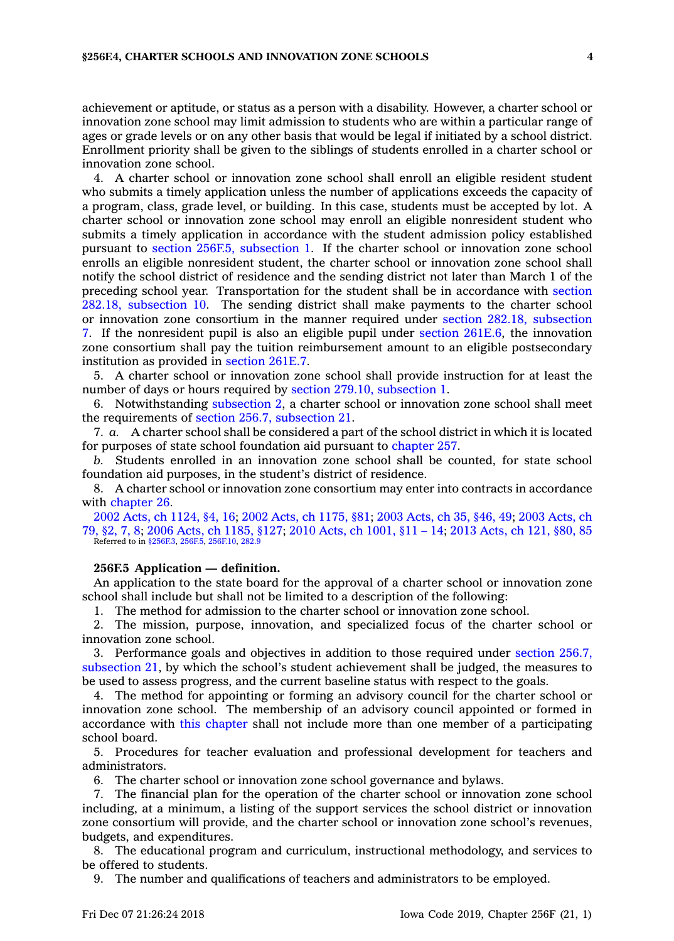achievement or aptitude, or status as <sup>a</sup> person with <sup>a</sup> disability. However, <sup>a</sup> charter school or innovation zone school may limit admission to students who are within <sup>a</sup> particular range of ages or grade levels or on any other basis that would be legal if initiated by <sup>a</sup> school district. Enrollment priority shall be given to the siblings of students enrolled in <sup>a</sup> charter school or innovation zone school.

4. A charter school or innovation zone school shall enroll an eligible resident student who submits <sup>a</sup> timely application unless the number of applications exceeds the capacity of <sup>a</sup> program, class, grade level, or building. In this case, students must be accepted by lot. A charter school or innovation zone school may enroll an eligible nonresident student who submits <sup>a</sup> timely application in accordance with the student admission policy established pursuant to section 256F.5, [subsection](https://www.legis.iowa.gov/docs/code/256F.5.pdf) 1. If the charter school or innovation zone school enrolls an eligible nonresident student, the charter school or innovation zone school shall notify the school district of residence and the sending district not later than March 1 of the preceding school year. Transportation for the student shall be in accordance with [section](https://www.legis.iowa.gov/docs/code/282.18.pdf) 282.18, [subsection](https://www.legis.iowa.gov/docs/code/282.18.pdf) 10. The sending district shall make payments to the charter school or innovation zone consortium in the manner required under section 282.18, [subsection](https://www.legis.iowa.gov/docs/code/282.18.pdf) [7](https://www.legis.iowa.gov/docs/code/282.18.pdf). If the nonresident pupil is also an eligible pupil under section [261E.6](https://www.legis.iowa.gov/docs/code/261E.6.pdf), the innovation zone consortium shall pay the tuition reimbursement amount to an eligible postsecondary institution as provided in [section](https://www.legis.iowa.gov/docs/code/261E.7.pdf) 261E.7.

5. A charter school or innovation zone school shall provide instruction for at least the number of days or hours required by section 279.10, [subsection](https://www.legis.iowa.gov/docs/code/279.10.pdf) 1.

6. Notwithstanding [subsection](https://www.legis.iowa.gov/docs/code/256F.4.pdf) 2, <sup>a</sup> charter school or innovation zone school shall meet the requirements of section 256.7, [subsection](https://www.legis.iowa.gov/docs/code/256.7.pdf) 21.

7. *a.* A charter school shall be considered <sup>a</sup> part of the school district in which it is located for purposes of state school foundation aid pursuant to [chapter](https://www.legis.iowa.gov/docs/code//257.pdf) 257.

*b.* Students enrolled in an innovation zone school shall be counted, for state school foundation aid purposes, in the student's district of residence.

8. A charter school or innovation zone consortium may enter into contracts in accordance with [chapter](https://www.legis.iowa.gov/docs/code//26.pdf) 26.

2002 Acts, ch [1124,](https://www.legis.iowa.gov/docs/acts/2002/CH1124.pdf) §4, 16; 2002 Acts, ch [1175,](https://www.legis.iowa.gov/docs/acts/2002/CH1175.pdf) §81; 2003 [Acts,](https://www.legis.iowa.gov/docs/acts/2003/CH0035.pdf) ch 35, §46, 49; 2003 [Acts,](https://www.legis.iowa.gov/docs/acts/2003/CH0079.pdf) ch [79,](https://www.legis.iowa.gov/docs/acts/2003/CH0079.pdf) §2, 7, 8; 2006 Acts, ch [1185,](https://www.legis.iowa.gov/docs/acts/2006/CH1185.pdf) §127; 2010 Acts, ch [1001,](https://www.legis.iowa.gov/docs/acts/2010/CH1001.pdf) §11 – 14; 2013 [Acts,](https://www.legis.iowa.gov/docs/acts/2013/CH0121.pdf) ch 121, §80, 85 Referred to in [§256F.3](https://www.legis.iowa.gov/docs/code/256F.3.pdf), [256F.5](https://www.legis.iowa.gov/docs/code/256F.5.pdf), [256F.10](https://www.legis.iowa.gov/docs/code/256F.10.pdf), [282.9](https://www.legis.iowa.gov/docs/code/282.9.pdf)

# **256F.5 Application — definition.**

An application to the state board for the approval of <sup>a</sup> charter school or innovation zone school shall include but shall not be limited to <sup>a</sup> description of the following:

1. The method for admission to the charter school or innovation zone school.

2. The mission, purpose, innovation, and specialized focus of the charter school or innovation zone school.

3. Performance goals and objectives in addition to those required under [section](https://www.legis.iowa.gov/docs/code/256.7.pdf) 256.7, [subsection](https://www.legis.iowa.gov/docs/code/256.7.pdf) 21, by which the school's student achievement shall be judged, the measures to be used to assess progress, and the current baseline status with respect to the goals.

4. The method for appointing or forming an advisory council for the charter school or innovation zone school. The membership of an advisory council appointed or formed in accordance with this [chapter](https://www.legis.iowa.gov/docs/code//256F.pdf) shall not include more than one member of <sup>a</sup> participating school board.

5. Procedures for teacher evaluation and professional development for teachers and administrators.

6. The charter school or innovation zone school governance and bylaws.

7. The financial plan for the operation of the charter school or innovation zone school including, at <sup>a</sup> minimum, <sup>a</sup> listing of the support services the school district or innovation zone consortium will provide, and the charter school or innovation zone school's revenues, budgets, and expenditures.

8. The educational program and curriculum, instructional methodology, and services to be offered to students.

9. The number and qualifications of teachers and administrators to be employed.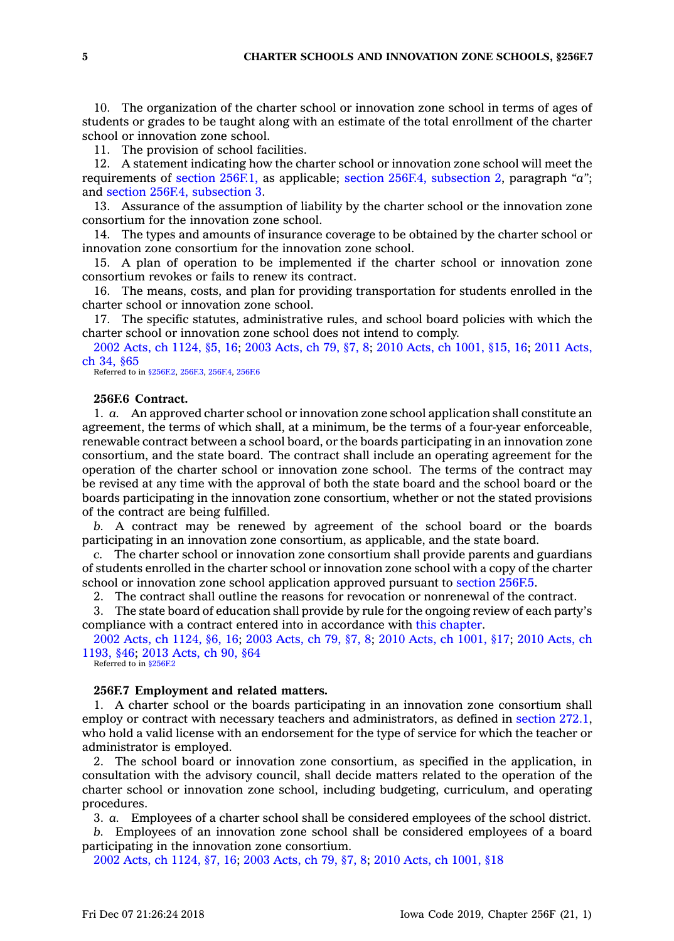10. The organization of the charter school or innovation zone school in terms of ages of students or grades to be taught along with an estimate of the total enrollment of the charter school or innovation zone school.

11. The provision of school facilities.

12. A statement indicating how the charter school or innovation zone school will meet the requirements of section [256F.1,](https://www.legis.iowa.gov/docs/code/256F.1.pdf) as applicable; section 256F.4, [subsection](https://www.legis.iowa.gov/docs/code/256F.4.pdf) 2, paragraph *"a"*; and section 256F.4, [subsection](https://www.legis.iowa.gov/docs/code/256F.4.pdf) 3.

13. Assurance of the assumption of liability by the charter school or the innovation zone consortium for the innovation zone school.

14. The types and amounts of insurance coverage to be obtained by the charter school or innovation zone consortium for the innovation zone school.

15. A plan of operation to be implemented if the charter school or innovation zone consortium revokes or fails to renew its contract.

16. The means, costs, and plan for providing transportation for students enrolled in the charter school or innovation zone school.

17. The specific statutes, administrative rules, and school board policies with which the charter school or innovation zone school does not intend to comply.

2002 Acts, ch [1124,](https://www.legis.iowa.gov/docs/acts/2002/CH1124.pdf) §5, 16; 2003 [Acts,](https://www.legis.iowa.gov/docs/acts/2003/CH0079.pdf) ch 79, §7, 8; 2010 Acts, ch [1001,](https://www.legis.iowa.gov/docs/acts/2010/CH1001.pdf) §15, 16; 2011 [Acts,](https://www.legis.iowa.gov/docs/acts/2011/CH0034.pdf) ch 34, [§65](https://www.legis.iowa.gov/docs/acts/2011/CH0034.pdf)

Referred to in [§256F.2](https://www.legis.iowa.gov/docs/code/256F.2.pdf), [256F.3](https://www.legis.iowa.gov/docs/code/256F.3.pdf), [256F.4](https://www.legis.iowa.gov/docs/code/256F.4.pdf), [256F.6](https://www.legis.iowa.gov/docs/code/256F.6.pdf)

#### **256F.6 Contract.**

1. *a.* An approved charter school or innovation zone school application shall constitute an agreement, the terms of which shall, at <sup>a</sup> minimum, be the terms of <sup>a</sup> four-year enforceable, renewable contract between <sup>a</sup> school board, or the boards participating in an innovation zone consortium, and the state board. The contract shall include an operating agreement for the operation of the charter school or innovation zone school. The terms of the contract may be revised at any time with the approval of both the state board and the school board or the boards participating in the innovation zone consortium, whether or not the stated provisions of the contract are being fulfilled.

*b.* A contract may be renewed by agreement of the school board or the boards participating in an innovation zone consortium, as applicable, and the state board.

*c.* The charter school or innovation zone consortium shall provide parents and guardians of students enrolled in the charter school or innovation zone school with <sup>a</sup> copy of the charter school or innovation zone school application approved pursuant to [section](https://www.legis.iowa.gov/docs/code/256F.5.pdf) 256F.5.

2. The contract shall outline the reasons for revocation or nonrenewal of the contract.

3. The state board of education shall provide by rule for the ongoing review of each party's compliance with <sup>a</sup> contract entered into in accordance with this [chapter](https://www.legis.iowa.gov/docs/code//256F.pdf).

2002 Acts, ch [1124,](https://www.legis.iowa.gov/docs/acts/2002/CH1124.pdf) §6, 16; 2003 [Acts,](https://www.legis.iowa.gov/docs/acts/2003/CH0079.pdf) ch 79, §7, 8; 2010 Acts, ch [1001,](https://www.legis.iowa.gov/docs/acts/2010/CH1001.pdf) §17; 2010 [Acts,](https://www.legis.iowa.gov/docs/acts/2010/CH1193.pdf) ch [1193,](https://www.legis.iowa.gov/docs/acts/2010/CH1193.pdf) §46; 2013 [Acts,](https://www.legis.iowa.gov/docs/acts/2013/CH0090.pdf) ch 90, §64 Referred to in [§256F.2](https://www.legis.iowa.gov/docs/code/256F.2.pdf)

**256F.7 Employment and related matters.**

1. A charter school or the boards participating in an innovation zone consortium shall employ or contract with necessary teachers and administrators, as defined in [section](https://www.legis.iowa.gov/docs/code/272.1.pdf) 272.1, who hold <sup>a</sup> valid license with an endorsement for the type of service for which the teacher or administrator is employed.

2. The school board or innovation zone consortium, as specified in the application, in consultation with the advisory council, shall decide matters related to the operation of the charter school or innovation zone school, including budgeting, curriculum, and operating procedures.

3. *a.* Employees of <sup>a</sup> charter school shall be considered employees of the school district.

*b.* Employees of an innovation zone school shall be considered employees of <sup>a</sup> board participating in the innovation zone consortium.

2002 Acts, ch [1124,](https://www.legis.iowa.gov/docs/acts/2002/CH1124.pdf) §7, 16; 2003 [Acts,](https://www.legis.iowa.gov/docs/acts/2003/CH0079.pdf) ch 79, §7, 8; 2010 Acts, ch [1001,](https://www.legis.iowa.gov/docs/acts/2010/CH1001.pdf) §18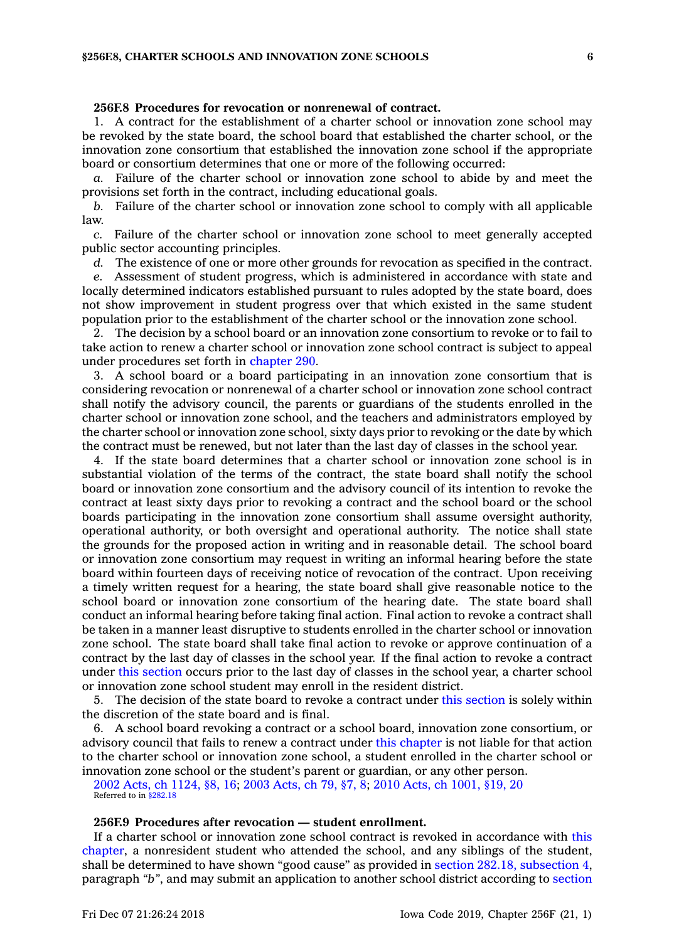#### **256F.8 Procedures for revocation or nonrenewal of contract.**

1. A contract for the establishment of <sup>a</sup> charter school or innovation zone school may be revoked by the state board, the school board that established the charter school, or the innovation zone consortium that established the innovation zone school if the appropriate board or consortium determines that one or more of the following occurred:

*a.* Failure of the charter school or innovation zone school to abide by and meet the provisions set forth in the contract, including educational goals.

*b.* Failure of the charter school or innovation zone school to comply with all applicable law.

*c.* Failure of the charter school or innovation zone school to meet generally accepted public sector accounting principles.

*d.* The existence of one or more other grounds for revocation as specified in the contract. *e.* Assessment of student progress, which is administered in accordance with state and locally determined indicators established pursuant to rules adopted by the state board, does not show improvement in student progress over that which existed in the same student

population prior to the establishment of the charter school or the innovation zone school. 2. The decision by <sup>a</sup> school board or an innovation zone consortium to revoke or to fail to take action to renew <sup>a</sup> charter school or innovation zone school contract is subject to appeal under procedures set forth in [chapter](https://www.legis.iowa.gov/docs/code//290.pdf) 290.

3. A school board or <sup>a</sup> board participating in an innovation zone consortium that is considering revocation or nonrenewal of <sup>a</sup> charter school or innovation zone school contract shall notify the advisory council, the parents or guardians of the students enrolled in the charter school or innovation zone school, and the teachers and administrators employed by the charter school or innovation zone school, sixty days prior to revoking or the date by which the contract must be renewed, but not later than the last day of classes in the school year.

4. If the state board determines that <sup>a</sup> charter school or innovation zone school is in substantial violation of the terms of the contract, the state board shall notify the school board or innovation zone consortium and the advisory council of its intention to revoke the contract at least sixty days prior to revoking <sup>a</sup> contract and the school board or the school boards participating in the innovation zone consortium shall assume oversight authority, operational authority, or both oversight and operational authority. The notice shall state the grounds for the proposed action in writing and in reasonable detail. The school board or innovation zone consortium may request in writing an informal hearing before the state board within fourteen days of receiving notice of revocation of the contract. Upon receiving <sup>a</sup> timely written request for <sup>a</sup> hearing, the state board shall give reasonable notice to the school board or innovation zone consortium of the hearing date. The state board shall conduct an informal hearing before taking final action. Final action to revoke <sup>a</sup> contract shall be taken in <sup>a</sup> manner least disruptive to students enrolled in the charter school or innovation zone school. The state board shall take final action to revoke or approve continuation of <sup>a</sup> contract by the last day of classes in the school year. If the final action to revoke <sup>a</sup> contract under this [section](https://www.legis.iowa.gov/docs/code/256F.8.pdf) occurs prior to the last day of classes in the school year, <sup>a</sup> charter school or innovation zone school student may enroll in the resident district.

5. The decision of the state board to revoke <sup>a</sup> contract under this [section](https://www.legis.iowa.gov/docs/code/256F.8.pdf) is solely within the discretion of the state board and is final.

6. A school board revoking <sup>a</sup> contract or <sup>a</sup> school board, innovation zone consortium, or advisory council that fails to renew <sup>a</sup> contract under this [chapter](https://www.legis.iowa.gov/docs/code//256F.pdf) is not liable for that action to the charter school or innovation zone school, <sup>a</sup> student enrolled in the charter school or innovation zone school or the student's parent or guardian, or any other person.

2002 Acts, ch [1124,](https://www.legis.iowa.gov/docs/acts/2002/CH1124.pdf) §8, 16; 2003 [Acts,](https://www.legis.iowa.gov/docs/acts/2003/CH0079.pdf) ch 79, §7, 8; 2010 Acts, ch [1001,](https://www.legis.iowa.gov/docs/acts/2010/CH1001.pdf) §19, 20 Referred to in [§282.18](https://www.legis.iowa.gov/docs/code/282.18.pdf)

### **256F.9 Procedures after revocation — student enrollment.**

If <sup>a</sup> charter school or innovation zone school contract is revoked in accordance with [this](https://www.legis.iowa.gov/docs/code//256F.pdf) [chapter](https://www.legis.iowa.gov/docs/code//256F.pdf), <sup>a</sup> nonresident student who attended the school, and any siblings of the student, shall be determined to have shown "good cause" as provided in section 282.18, [subsection](https://www.legis.iowa.gov/docs/code/282.18.pdf) 4, paragraph *"b"*, and may submit an application to another school district according to [section](https://www.legis.iowa.gov/docs/code/282.18.pdf)